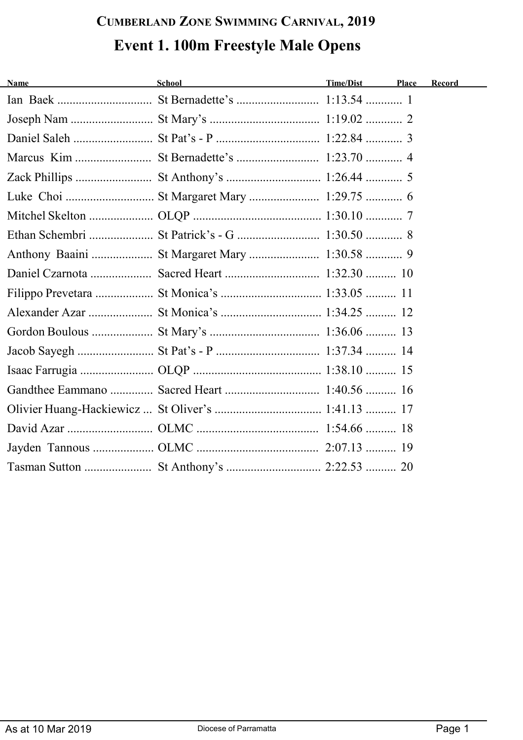## **CUMBERLAND ZONE SWIMMING CARNIVAL, 2019 Event 1. 100m Freestyle Male Opens**

| <b>Name</b><br><u> 1980 - Johann Barbara, martxa al</u> | <b>School</b><br><u> 1989 - Johann John Stone, mars eta bat eta bat erroman erroman erroman erroman erroman erroman erroman erroma</u> | <b>Time/Dist</b> | Place | Record |
|---------------------------------------------------------|----------------------------------------------------------------------------------------------------------------------------------------|------------------|-------|--------|
|                                                         |                                                                                                                                        |                  |       |        |
|                                                         |                                                                                                                                        |                  |       |        |
|                                                         |                                                                                                                                        |                  |       |        |
|                                                         |                                                                                                                                        |                  |       |        |
|                                                         |                                                                                                                                        |                  |       |        |
|                                                         |                                                                                                                                        |                  |       |        |
|                                                         |                                                                                                                                        |                  |       |        |
|                                                         |                                                                                                                                        |                  |       |        |
|                                                         |                                                                                                                                        |                  |       |        |
|                                                         |                                                                                                                                        |                  |       |        |
|                                                         |                                                                                                                                        |                  |       |        |
|                                                         |                                                                                                                                        |                  |       |        |
|                                                         |                                                                                                                                        |                  |       |        |
|                                                         |                                                                                                                                        |                  |       |        |
|                                                         |                                                                                                                                        |                  |       |        |
|                                                         |                                                                                                                                        |                  |       |        |
|                                                         |                                                                                                                                        |                  |       |        |
|                                                         |                                                                                                                                        |                  |       |        |
|                                                         |                                                                                                                                        |                  |       |        |
|                                                         |                                                                                                                                        |                  |       |        |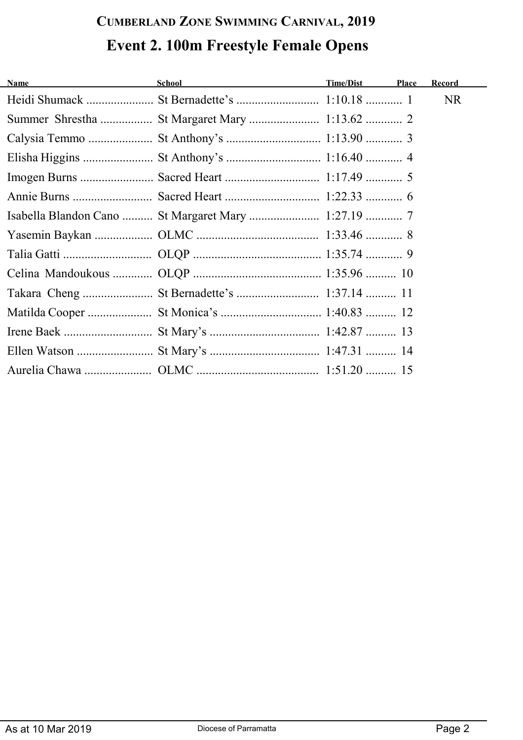# **CUMBERLAND ZONE SWIMMING CARNIVAL, 2019 Event 2. 100m Freestyle Female Opens**

| <u> 1980 - Jan Barbara Barat, prima popular popular popular popular popular popular popular popular popular popula</u><br><b>Name</b> | <b>School</b> School                                | Time/Dist | Place | Record    |
|---------------------------------------------------------------------------------------------------------------------------------------|-----------------------------------------------------|-----------|-------|-----------|
|                                                                                                                                       |                                                     |           |       | <b>NR</b> |
|                                                                                                                                       |                                                     |           |       |           |
|                                                                                                                                       |                                                     |           |       |           |
|                                                                                                                                       |                                                     |           |       |           |
|                                                                                                                                       |                                                     |           |       |           |
|                                                                                                                                       |                                                     |           |       |           |
|                                                                                                                                       | Isabella Blandon Cano  St Margaret Mary  1:27.19  7 |           |       |           |
|                                                                                                                                       |                                                     |           |       |           |
|                                                                                                                                       |                                                     |           |       |           |
|                                                                                                                                       |                                                     |           |       |           |
|                                                                                                                                       |                                                     |           |       |           |
|                                                                                                                                       |                                                     |           |       |           |
|                                                                                                                                       |                                                     |           |       |           |
|                                                                                                                                       |                                                     |           |       |           |
|                                                                                                                                       |                                                     |           |       |           |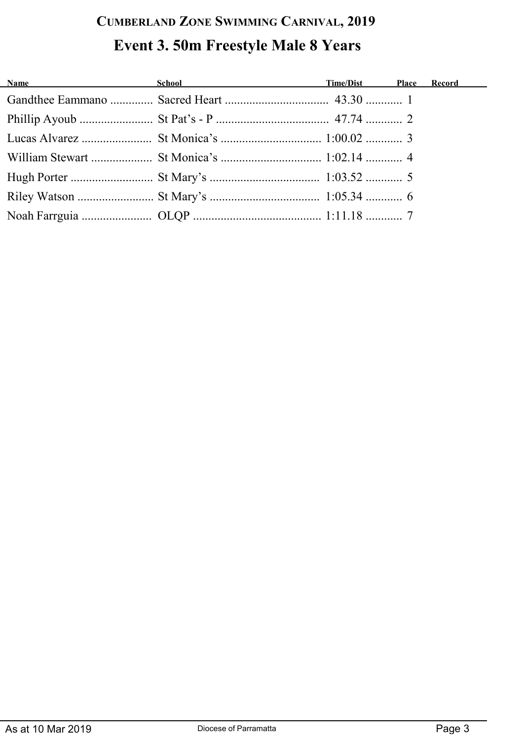## **CUMBERLAND ZONE SWIMMING CARNIVAL, 2019 Event 3. 50m Freestyle Male 8 Years**

| <b>Name</b> School School <b>Example 2018</b> School <b>CONFIDENTIES</b> School <b>CONFIDENTIES</b> School <b>CONFIDENTIES</b> School <b>CONFIDENTIES</b> School <b>CONFIDENTIES</b> School <b>CONFIDENTIES</b> School <b>CONFIDENTIES</b> School <b>CONFIDENTIES</b> School <b>CO</b> |  |  |
|----------------------------------------------------------------------------------------------------------------------------------------------------------------------------------------------------------------------------------------------------------------------------------------|--|--|
|                                                                                                                                                                                                                                                                                        |  |  |
|                                                                                                                                                                                                                                                                                        |  |  |
|                                                                                                                                                                                                                                                                                        |  |  |
|                                                                                                                                                                                                                                                                                        |  |  |
|                                                                                                                                                                                                                                                                                        |  |  |
|                                                                                                                                                                                                                                                                                        |  |  |
|                                                                                                                                                                                                                                                                                        |  |  |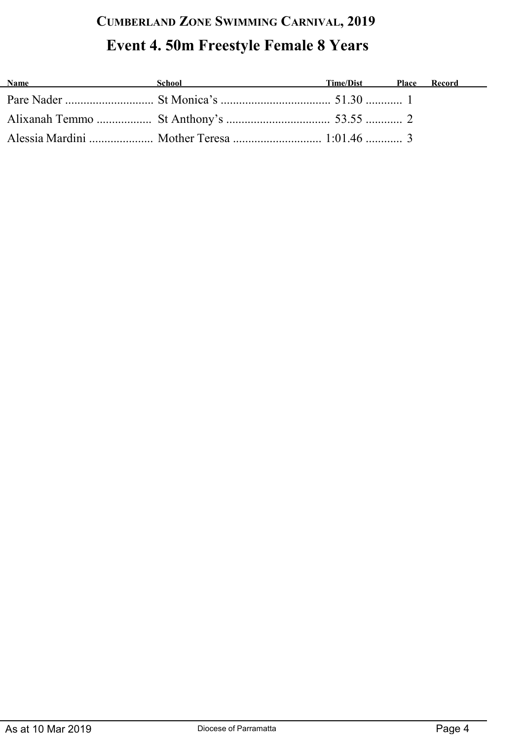### **CUMBERLAND ZONE SWIMMING CARNIVAL, 2019 Event 4. 50m Freestyle Female 8 Years**

| <b>Name</b> | School | Time/Dist | Place Record |
|-------------|--------|-----------|--------------|
|             |        |           |              |
|             |        |           |              |
|             |        |           |              |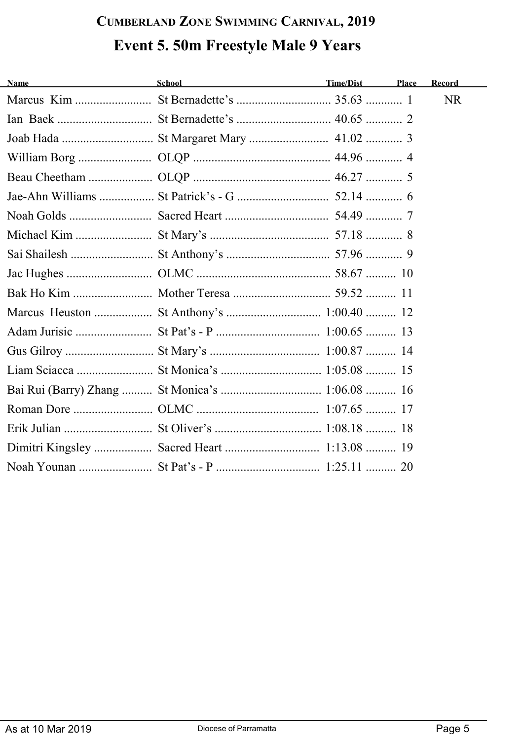## **CUMBERLAND ZONE SWIMMING CARNIVAL, 2019 Event 5. 50m Freestyle Male 9 Years**

| <b>Name</b> | <b>School</b> | <b>Time/Dist</b> | Place | Record    |
|-------------|---------------|------------------|-------|-----------|
|             |               |                  |       | <b>NR</b> |
|             |               |                  |       |           |
|             |               |                  |       |           |
|             |               |                  |       |           |
|             |               |                  |       |           |
|             |               |                  |       |           |
|             |               |                  |       |           |
|             |               |                  |       |           |
|             |               |                  |       |           |
|             |               |                  |       |           |
|             |               |                  |       |           |
|             |               |                  |       |           |
|             |               |                  |       |           |
|             |               |                  |       |           |
|             |               |                  |       |           |
|             |               |                  |       |           |
|             |               |                  |       |           |
|             |               |                  |       |           |
|             |               |                  |       |           |
|             |               |                  |       |           |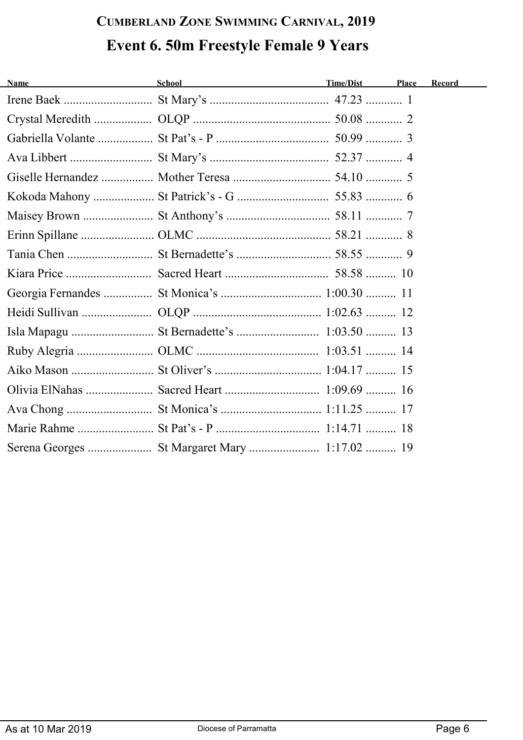#### **CUMBERLAND ZONE SWIMMING CARNIVAL, 2019 Event 6. 50m Freestyle Female 9 Years**

| <u> 1980 - Johann Marie Barn, mars eta idazlea (</u><br><b>Name</b> | School and the second second second second second second second second second second second second second second second second second second second second second second second second second second second second second seco | Time/Dist | Place | Record |
|---------------------------------------------------------------------|--------------------------------------------------------------------------------------------------------------------------------------------------------------------------------------------------------------------------------|-----------|-------|--------|
|                                                                     |                                                                                                                                                                                                                                |           |       |        |
|                                                                     |                                                                                                                                                                                                                                |           |       |        |
|                                                                     |                                                                                                                                                                                                                                |           |       |        |
|                                                                     |                                                                                                                                                                                                                                |           |       |        |
|                                                                     |                                                                                                                                                                                                                                |           |       |        |
|                                                                     |                                                                                                                                                                                                                                |           |       |        |
|                                                                     |                                                                                                                                                                                                                                |           |       |        |
|                                                                     |                                                                                                                                                                                                                                |           |       |        |
|                                                                     |                                                                                                                                                                                                                                |           |       |        |
|                                                                     |                                                                                                                                                                                                                                |           |       |        |
|                                                                     |                                                                                                                                                                                                                                |           |       |        |
|                                                                     |                                                                                                                                                                                                                                |           |       |        |
|                                                                     |                                                                                                                                                                                                                                |           |       |        |
|                                                                     |                                                                                                                                                                                                                                |           |       |        |
|                                                                     |                                                                                                                                                                                                                                |           |       |        |
|                                                                     |                                                                                                                                                                                                                                |           |       |        |
|                                                                     |                                                                                                                                                                                                                                |           |       |        |
|                                                                     |                                                                                                                                                                                                                                |           |       |        |
|                                                                     |                                                                                                                                                                                                                                |           |       |        |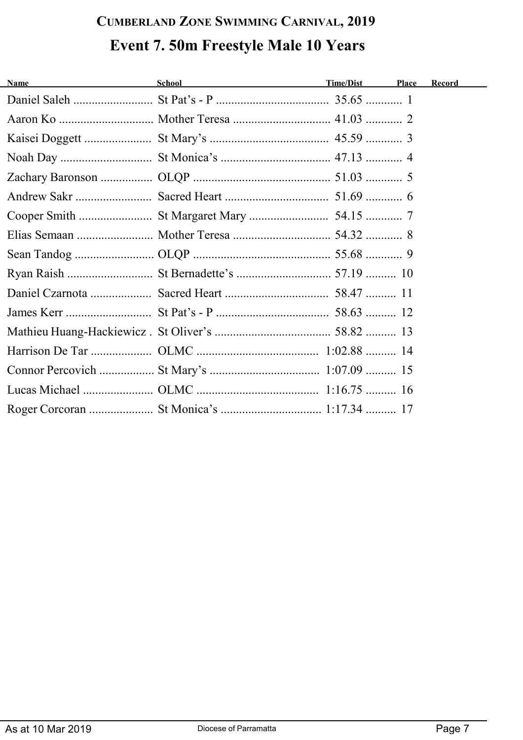## **CUMBERLAND ZONE SWIMMING CARNIVAL, 2019 Event 7. 50m Freestyle Male 10 Years**

| <b>Name</b> | <b>School</b> School | Time/Dist | Place | Record |
|-------------|----------------------|-----------|-------|--------|
|             |                      |           |       |        |
|             |                      |           |       |        |
|             |                      |           |       |        |
|             |                      |           |       |        |
|             |                      |           |       |        |
|             |                      |           |       |        |
|             |                      |           |       |        |
|             |                      |           |       |        |
|             |                      |           |       |        |
|             |                      |           |       |        |
|             |                      |           |       |        |
|             |                      |           |       |        |
|             |                      |           |       |        |
|             |                      |           |       |        |
|             |                      |           |       |        |
|             |                      |           |       |        |
|             |                      |           |       |        |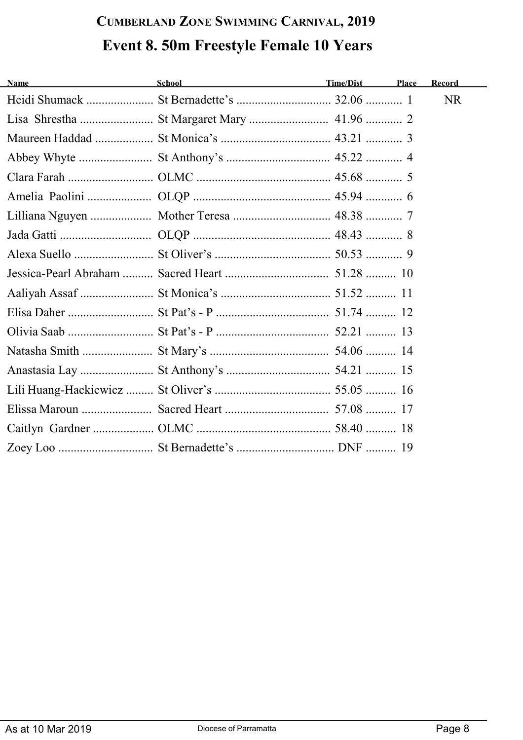## **CUMBERLAND ZONE SWIMMING CARNIVAL, 2019 Event 8. 50m Freestyle Female 10 Years**

| <b>Name</b> | School and the state of the state of the state of the state of the state of the state of the state of the state of the state of the state of the state of the state of the state of the state of the state of the state of the | <b>Time/Dist</b> | Place | Record    |
|-------------|--------------------------------------------------------------------------------------------------------------------------------------------------------------------------------------------------------------------------------|------------------|-------|-----------|
|             |                                                                                                                                                                                                                                |                  |       | <b>NR</b> |
|             |                                                                                                                                                                                                                                |                  |       |           |
|             |                                                                                                                                                                                                                                |                  |       |           |
|             |                                                                                                                                                                                                                                |                  |       |           |
|             |                                                                                                                                                                                                                                |                  |       |           |
|             |                                                                                                                                                                                                                                |                  |       |           |
|             |                                                                                                                                                                                                                                |                  |       |           |
|             |                                                                                                                                                                                                                                |                  |       |           |
|             |                                                                                                                                                                                                                                |                  |       |           |
|             |                                                                                                                                                                                                                                |                  |       |           |
|             |                                                                                                                                                                                                                                |                  |       |           |
|             |                                                                                                                                                                                                                                |                  |       |           |
|             |                                                                                                                                                                                                                                |                  |       |           |
|             |                                                                                                                                                                                                                                |                  |       |           |
|             |                                                                                                                                                                                                                                |                  |       |           |
|             |                                                                                                                                                                                                                                |                  |       |           |
|             |                                                                                                                                                                                                                                |                  |       |           |
|             |                                                                                                                                                                                                                                |                  |       |           |
|             |                                                                                                                                                                                                                                |                  |       |           |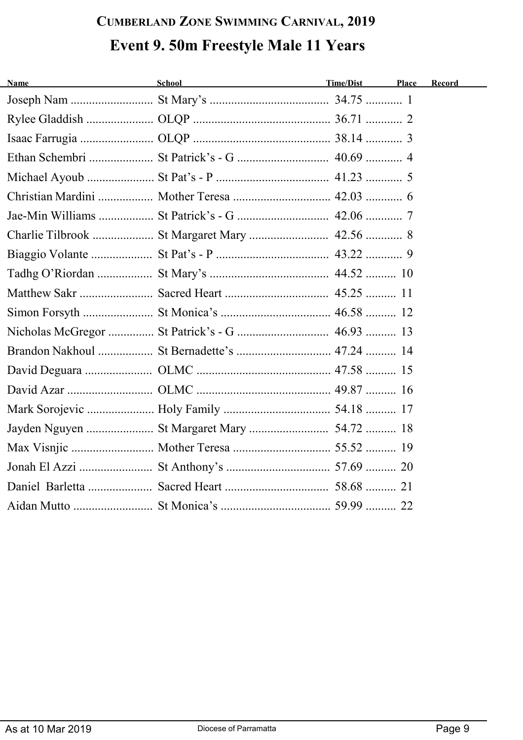## **CUMBERLAND ZONE SWIMMING CARNIVAL, 2019 Event 9. 50m Freestyle Male 11 Years**

| <b>Name</b> | School<br><u> 1989 - Johann Barn, mars ann an t-Amhair an t-Amhair an t-Amhair an t-Amhair an t-Amhair an t-Amhair an t-Amh</u> | Time/Dist | Place Record |
|-------------|---------------------------------------------------------------------------------------------------------------------------------|-----------|--------------|
|             |                                                                                                                                 |           |              |
|             |                                                                                                                                 |           |              |
|             |                                                                                                                                 |           |              |
|             |                                                                                                                                 |           |              |
|             |                                                                                                                                 |           |              |
|             |                                                                                                                                 |           |              |
|             |                                                                                                                                 |           |              |
|             | Charlie Tilbrook  St Margaret Mary  42.56  8                                                                                    |           |              |
|             |                                                                                                                                 |           |              |
|             |                                                                                                                                 |           |              |
|             |                                                                                                                                 |           |              |
|             |                                                                                                                                 |           |              |
|             |                                                                                                                                 |           |              |
|             |                                                                                                                                 |           |              |
|             |                                                                                                                                 |           |              |
|             |                                                                                                                                 |           |              |
|             |                                                                                                                                 |           |              |
|             |                                                                                                                                 |           |              |
|             |                                                                                                                                 |           |              |
|             |                                                                                                                                 |           |              |
|             |                                                                                                                                 |           |              |
|             |                                                                                                                                 |           |              |
|             |                                                                                                                                 |           |              |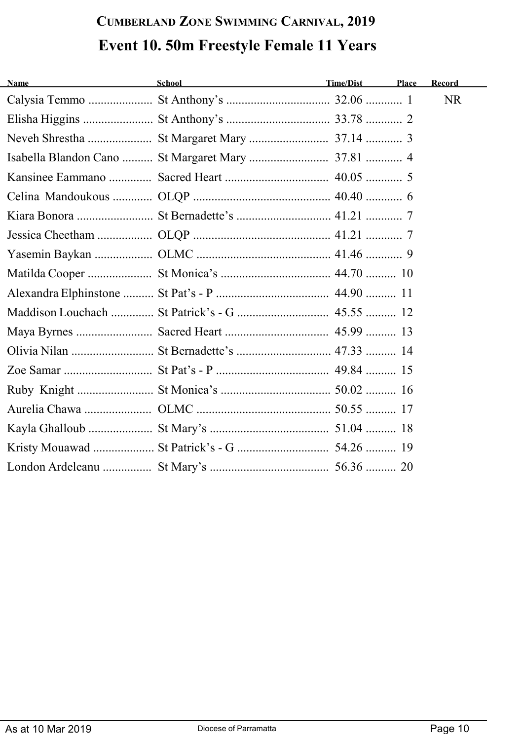## **CUMBERLAND ZONE SWIMMING CARNIVAL, 2019 Event 10. 50m Freestyle Female 11 Years**

| <b>Name</b><br><u> 1980 - Johann Barbara, martxa al</u> | School<br><u> 1989 - Johann Barn, mars ann an t-Amhain Aonaich an t-Aonaich an t-Aonaich ann an t-Aonaich ann an t-Aonaich</u> | Time/Dist | Place | Record    |
|---------------------------------------------------------|--------------------------------------------------------------------------------------------------------------------------------|-----------|-------|-----------|
|                                                         |                                                                                                                                |           |       | <b>NR</b> |
|                                                         |                                                                                                                                |           |       |           |
|                                                         |                                                                                                                                |           |       |           |
|                                                         |                                                                                                                                |           |       |           |
|                                                         |                                                                                                                                |           |       |           |
|                                                         |                                                                                                                                |           |       |           |
|                                                         |                                                                                                                                |           |       |           |
|                                                         |                                                                                                                                |           |       |           |
|                                                         |                                                                                                                                |           |       |           |
|                                                         |                                                                                                                                |           |       |           |
|                                                         |                                                                                                                                |           |       |           |
|                                                         |                                                                                                                                |           |       |           |
|                                                         |                                                                                                                                |           |       |           |
|                                                         |                                                                                                                                |           |       |           |
|                                                         |                                                                                                                                |           |       |           |
|                                                         |                                                                                                                                |           |       |           |
|                                                         |                                                                                                                                |           |       |           |
|                                                         |                                                                                                                                |           |       |           |
|                                                         |                                                                                                                                |           |       |           |
|                                                         |                                                                                                                                |           |       |           |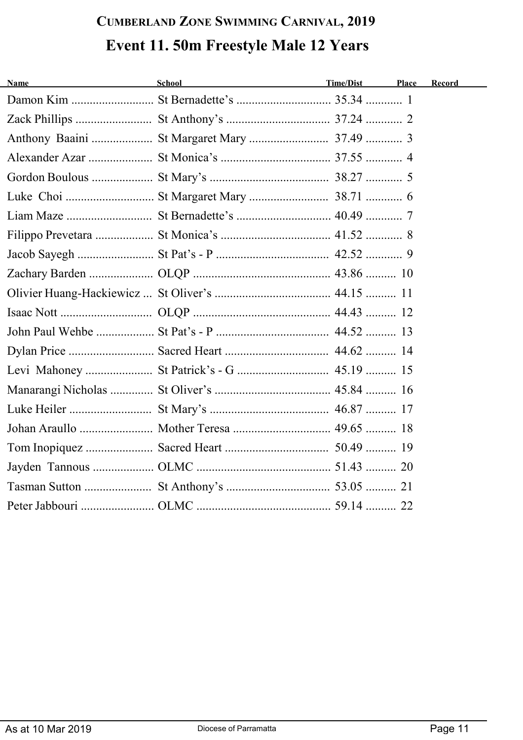# **CUMBERLAND ZONE SWIMMING CARNIVAL, 2019 Event 11. 50m Freestyle Male 12 Years**

| <b>Name</b> | School<br><u> 1980 - Jan Samuel Barbara, poeta estable</u> | Time/Dist | Place | Record |
|-------------|------------------------------------------------------------|-----------|-------|--------|
|             |                                                            |           |       |        |
|             |                                                            |           |       |        |
|             |                                                            |           |       |        |
|             |                                                            |           |       |        |
|             |                                                            |           |       |        |
|             |                                                            |           |       |        |
|             |                                                            |           |       |        |
|             |                                                            |           |       |        |
|             |                                                            |           |       |        |
|             |                                                            |           |       |        |
|             |                                                            |           |       |        |
|             |                                                            |           |       |        |
|             |                                                            |           |       |        |
|             |                                                            |           |       |        |
|             |                                                            |           |       |        |
|             |                                                            |           |       |        |
|             |                                                            |           |       |        |
|             |                                                            |           |       |        |
|             |                                                            |           |       |        |
|             |                                                            |           |       |        |
|             |                                                            |           |       |        |
|             |                                                            |           |       |        |
|             |                                                            |           |       |        |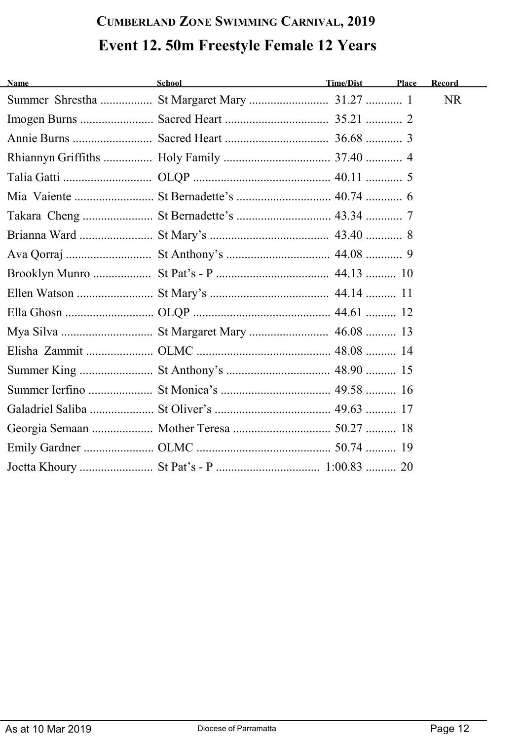## **CUMBERLAND ZONE SWIMMING CARNIVAL, 2019 Event 12. 50m Freestyle Female 12 Years**

| <b>Name</b> | School | Time/Dist | Place | Record |
|-------------|--------|-----------|-------|--------|
|             |        |           |       | NR.    |
|             |        |           |       |        |
|             |        |           |       |        |
|             |        |           |       |        |
|             |        |           |       |        |
|             |        |           |       |        |
|             |        |           |       |        |
|             |        |           |       |        |
|             |        |           |       |        |
|             |        |           |       |        |
|             |        |           |       |        |
|             |        |           |       |        |
|             |        |           |       |        |
|             |        |           |       |        |
|             |        |           |       |        |
|             |        |           |       |        |
|             |        |           |       |        |
|             |        |           |       |        |
|             |        |           |       |        |
|             |        |           |       |        |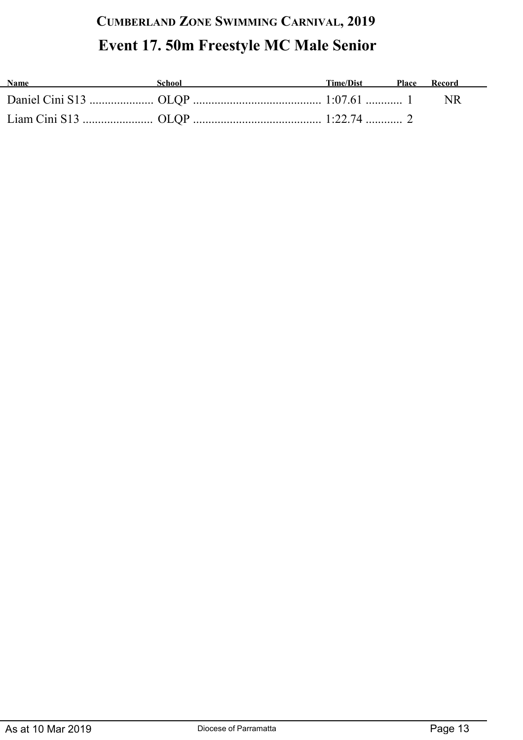#### **CUMBERLAND ZONE SWIMMING CARNIVAL, 2019 Event 17. 50m Freestyle MC Male Senior**

| <b>Name</b> | School | Time/Dist Place Record |  |
|-------------|--------|------------------------|--|
|             |        |                        |  |
|             |        |                        |  |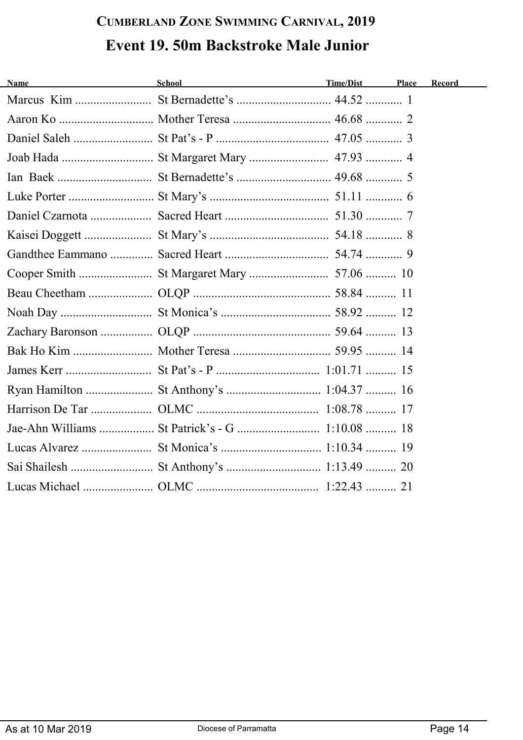## **CUMBERLAND ZONE SWIMMING CARNIVAL, 2019 Event 19. 50m Backstroke Male Junior**

| Name<br><u> 1980 - Johann Barbara, martxa alemaniar a</u> | <b>School</b> | Time/Dist | Place | Record |
|-----------------------------------------------------------|---------------|-----------|-------|--------|
|                                                           |               |           |       |        |
|                                                           |               |           |       |        |
|                                                           |               |           |       |        |
|                                                           |               |           |       |        |
|                                                           |               |           |       |        |
|                                                           |               |           |       |        |
|                                                           |               |           |       |        |
|                                                           |               |           |       |        |
|                                                           |               |           |       |        |
|                                                           |               |           |       |        |
|                                                           |               |           |       |        |
|                                                           |               |           |       |        |
|                                                           |               |           |       |        |
|                                                           |               |           |       |        |
|                                                           |               |           |       |        |
|                                                           |               |           |       |        |
|                                                           |               |           |       |        |
|                                                           |               |           |       |        |
|                                                           |               |           |       |        |
|                                                           |               |           |       |        |
|                                                           |               |           |       |        |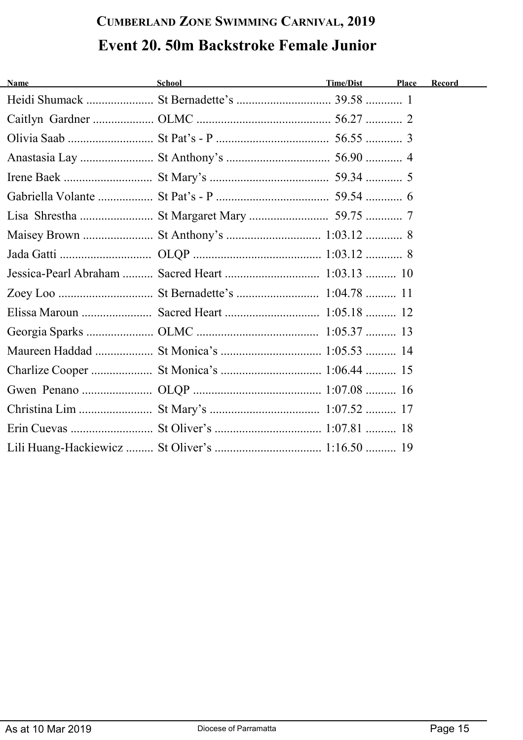## **CUMBERLAND ZONE SWIMMING CARNIVAL, 2019 Event 20. 50m Backstroke Female Junior**

| <b>Name</b> | School <b>Example 2018</b> | <b>Time/Dist</b> | Place | Record |
|-------------|----------------------------|------------------|-------|--------|
|             |                            |                  |       |        |
|             |                            |                  |       |        |
|             |                            |                  |       |        |
|             |                            |                  |       |        |
|             |                            |                  |       |        |
|             |                            |                  |       |        |
|             |                            |                  |       |        |
|             |                            |                  |       |        |
|             |                            |                  |       |        |
|             |                            |                  |       |        |
|             |                            |                  |       |        |
|             |                            |                  |       |        |
|             |                            |                  |       |        |
|             |                            |                  |       |        |
|             |                            |                  |       |        |
|             |                            |                  |       |        |
|             |                            |                  |       |        |
|             |                            |                  |       |        |
|             |                            |                  |       |        |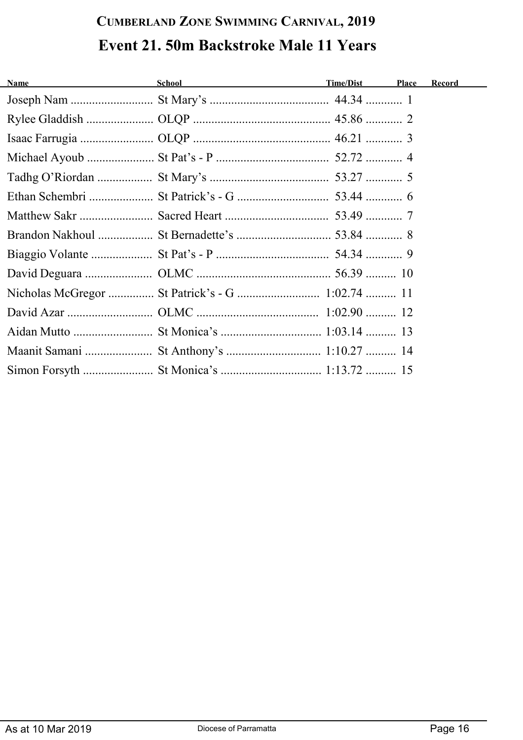# **CUMBERLAND ZONE SWIMMING CARNIVAL, 2019 Event 21. 50m Backstroke Male 11 Years**

| <b>Name</b> | <b>Example 2018</b> School and School and Time/Dist | Place | Record |
|-------------|-----------------------------------------------------|-------|--------|
|             |                                                     |       |        |
|             |                                                     |       |        |
|             |                                                     |       |        |
|             |                                                     |       |        |
|             |                                                     |       |        |
|             |                                                     |       |        |
|             |                                                     |       |        |
|             |                                                     |       |        |
|             |                                                     |       |        |
|             |                                                     |       |        |
|             |                                                     |       |        |
|             |                                                     |       |        |
|             |                                                     |       |        |
|             |                                                     |       |        |
|             |                                                     |       |        |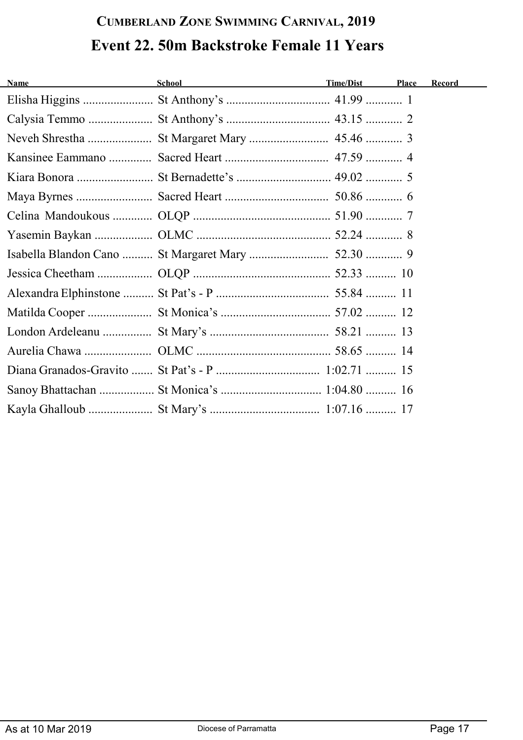# **CUMBERLAND ZONE SWIMMING CARNIVAL, 2019 Event 22. 50m Backstroke Female 11 Years**

| <b>Name</b> | School and the state of the state of the state of the state of the state of the state of the state of the state of the state of the state of the state of the state of the state of the state of the state of the state of the | Time/Dist | Place | Record |
|-------------|--------------------------------------------------------------------------------------------------------------------------------------------------------------------------------------------------------------------------------|-----------|-------|--------|
|             |                                                                                                                                                                                                                                |           |       |        |
|             |                                                                                                                                                                                                                                |           |       |        |
|             |                                                                                                                                                                                                                                |           |       |        |
|             |                                                                                                                                                                                                                                |           |       |        |
|             |                                                                                                                                                                                                                                |           |       |        |
|             |                                                                                                                                                                                                                                |           |       |        |
|             |                                                                                                                                                                                                                                |           |       |        |
|             |                                                                                                                                                                                                                                |           |       |        |
|             |                                                                                                                                                                                                                                |           |       |        |
|             |                                                                                                                                                                                                                                |           |       |        |
|             |                                                                                                                                                                                                                                |           |       |        |
|             |                                                                                                                                                                                                                                |           |       |        |
|             |                                                                                                                                                                                                                                |           |       |        |
|             |                                                                                                                                                                                                                                |           |       |        |
|             |                                                                                                                                                                                                                                |           |       |        |
|             | Sanoy Bhattachan  St Monica's  1:04.80  16                                                                                                                                                                                     |           |       |        |
|             |                                                                                                                                                                                                                                |           |       |        |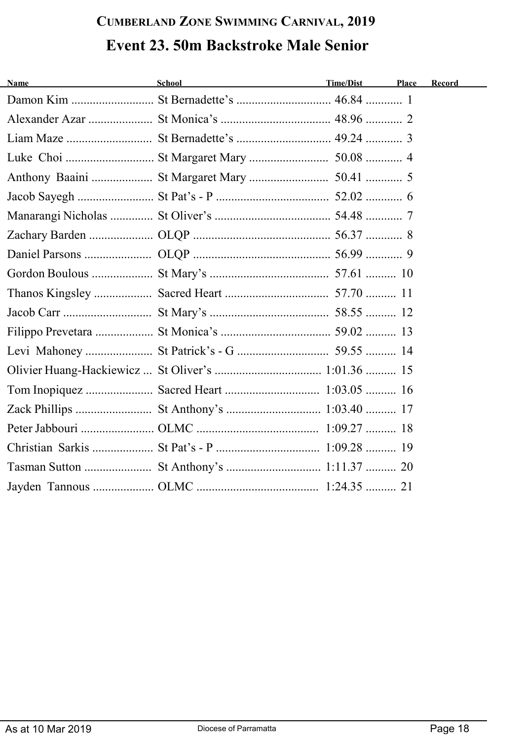## **CUMBERLAND ZONE SWIMMING CARNIVAL, 2019 Event 23. 50m Backstroke Male Senior**

| <b>Name</b> | School<br><u> 1989 - Johann Barn, mars an t-Amerikaansk kommunister (</u> | Time/Dist | Place | Record |
|-------------|---------------------------------------------------------------------------|-----------|-------|--------|
|             |                                                                           |           |       |        |
|             |                                                                           |           |       |        |
|             |                                                                           |           |       |        |
|             |                                                                           |           |       |        |
|             |                                                                           |           |       |        |
|             |                                                                           |           |       |        |
|             |                                                                           |           |       |        |
|             |                                                                           |           |       |        |
|             |                                                                           |           |       |        |
|             |                                                                           |           |       |        |
|             |                                                                           |           |       |        |
|             |                                                                           |           |       |        |
|             |                                                                           |           |       |        |
|             |                                                                           |           |       |        |
|             |                                                                           |           |       |        |
|             |                                                                           |           |       |        |
|             |                                                                           |           |       |        |
|             |                                                                           |           |       |        |
|             |                                                                           |           |       |        |
|             |                                                                           |           |       |        |
|             |                                                                           |           |       |        |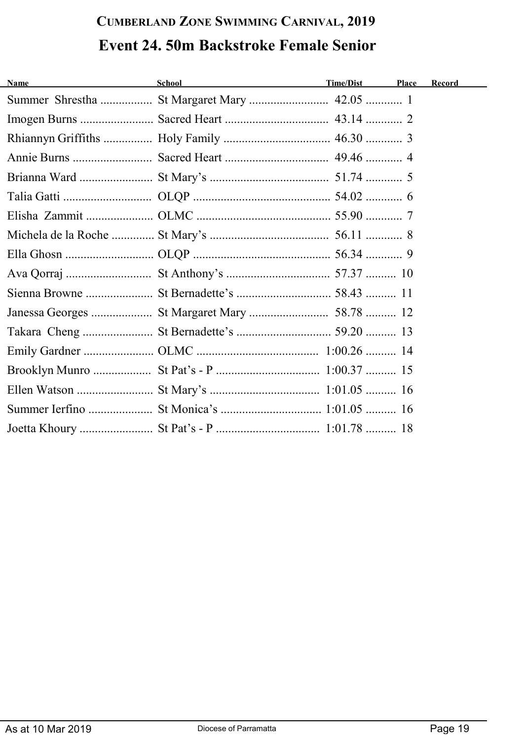# **CUMBERLAND ZONE SWIMMING CARNIVAL, 2019 Event 24. 50m Backstroke Female Senior**

| <b>Name</b> | School and the state of the state of the state of the state of the state of the state of the state of the state of the state of the state of the state of the state of the state of the state of the state of the state of the | Time/Dist | Place | Record |
|-------------|--------------------------------------------------------------------------------------------------------------------------------------------------------------------------------------------------------------------------------|-----------|-------|--------|
|             |                                                                                                                                                                                                                                |           |       |        |
|             |                                                                                                                                                                                                                                |           |       |        |
|             |                                                                                                                                                                                                                                |           |       |        |
|             |                                                                                                                                                                                                                                |           |       |        |
|             |                                                                                                                                                                                                                                |           |       |        |
|             |                                                                                                                                                                                                                                |           |       |        |
|             |                                                                                                                                                                                                                                |           |       |        |
|             |                                                                                                                                                                                                                                |           |       |        |
|             |                                                                                                                                                                                                                                |           |       |        |
|             |                                                                                                                                                                                                                                |           |       |        |
|             |                                                                                                                                                                                                                                |           |       |        |
|             |                                                                                                                                                                                                                                |           |       |        |
|             |                                                                                                                                                                                                                                |           |       |        |
|             |                                                                                                                                                                                                                                |           |       |        |
|             |                                                                                                                                                                                                                                |           |       |        |
|             |                                                                                                                                                                                                                                |           |       |        |
|             |                                                                                                                                                                                                                                |           |       |        |
|             |                                                                                                                                                                                                                                |           |       |        |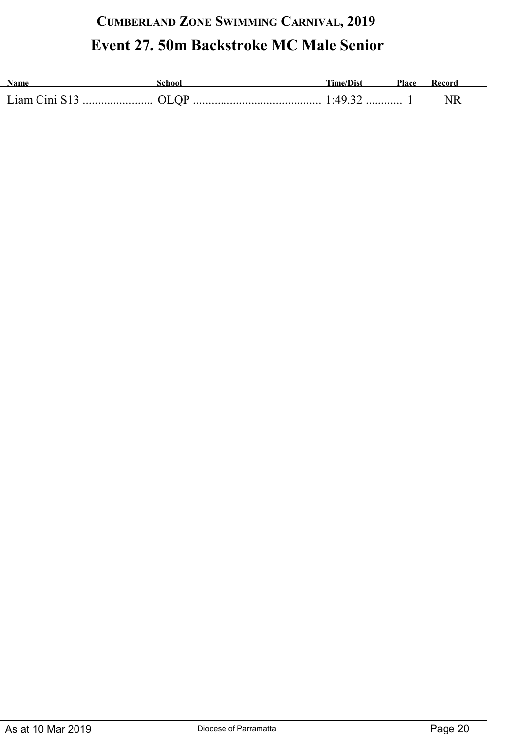### **CUMBERLAND ZONE SWIMMING CARNIVAL, 2019 Event 27. 50m Backstroke MC Male Senior**

| Name          | ichoo. | <b>Time/Dist</b> | <b>Place</b> |  |
|---------------|--------|------------------|--------------|--|
| Liam Cini S13 |        |                  |              |  |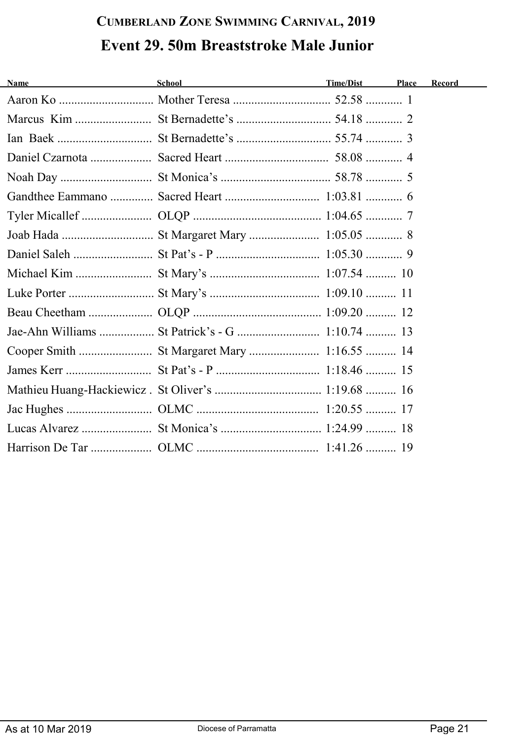# **CUMBERLAND ZONE SWIMMING CARNIVAL, 2019 Event 29. 50m Breaststroke Male Junior**

| <b>Name</b> | School Time/Dist | Place | Record |
|-------------|------------------|-------|--------|
|             |                  |       |        |
|             |                  |       |        |
|             |                  |       |        |
|             |                  |       |        |
|             |                  |       |        |
|             |                  |       |        |
|             |                  |       |        |
|             |                  |       |        |
|             |                  |       |        |
|             |                  |       |        |
|             |                  |       |        |
|             |                  |       |        |
|             |                  |       |        |
|             |                  |       |        |
|             |                  |       |        |
|             |                  |       |        |
|             |                  |       |        |
|             |                  |       |        |
|             |                  |       |        |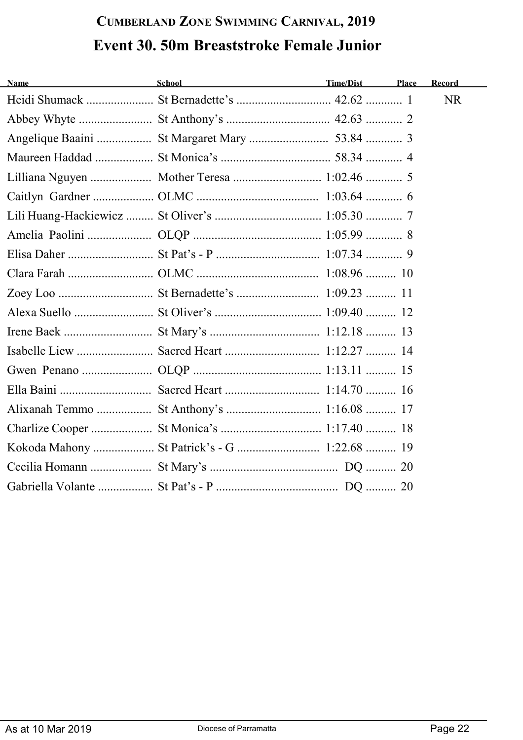## **CUMBERLAND ZONE SWIMMING CARNIVAL, 2019 Event 30. 50m Breaststroke Female Junior**

| <b>Name</b> | School <b>Example 2018</b>                   | Time/Dist | Place | Record    |
|-------------|----------------------------------------------|-----------|-------|-----------|
|             |                                              |           |       | <b>NR</b> |
|             |                                              |           |       |           |
|             |                                              |           |       |           |
|             |                                              |           |       |           |
|             | Lilliana Nguyen  Mother Teresa  1:02.46  5   |           |       |           |
|             |                                              |           |       |           |
|             |                                              |           |       |           |
|             |                                              |           |       |           |
|             |                                              |           |       |           |
|             |                                              |           |       |           |
|             |                                              |           |       |           |
|             |                                              |           |       |           |
|             |                                              |           |       |           |
|             |                                              |           |       |           |
|             |                                              |           |       |           |
|             |                                              |           |       |           |
|             |                                              |           |       |           |
|             |                                              |           |       |           |
|             | Kokoda Mahony  St Patrick's - G  1:22.68  19 |           |       |           |
|             |                                              |           |       |           |
|             |                                              |           |       |           |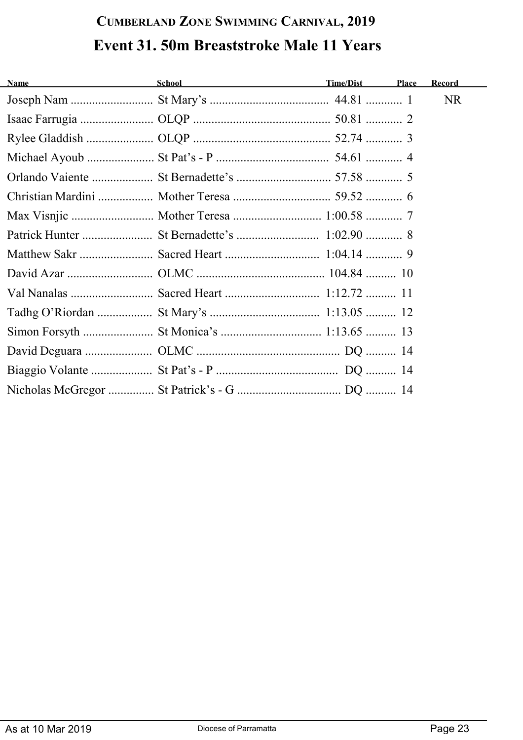## **CUMBERLAND ZONE SWIMMING CARNIVAL, 2019 Event 31. 50m Breaststroke Male 11 Years**

| <b>Name</b> | <u>School</u> School and the state of the state of the state of the state of the state of the state of the state of the state of the state of the state of the state of the state of the state of the state of the state of the sta | Time/Dist | Place | Record    |
|-------------|-------------------------------------------------------------------------------------------------------------------------------------------------------------------------------------------------------------------------------------|-----------|-------|-----------|
|             |                                                                                                                                                                                                                                     |           |       | <b>NR</b> |
|             |                                                                                                                                                                                                                                     |           |       |           |
|             |                                                                                                                                                                                                                                     |           |       |           |
|             |                                                                                                                                                                                                                                     |           |       |           |
|             |                                                                                                                                                                                                                                     |           |       |           |
|             |                                                                                                                                                                                                                                     |           |       |           |
|             |                                                                                                                                                                                                                                     |           |       |           |
|             |                                                                                                                                                                                                                                     |           |       |           |
|             |                                                                                                                                                                                                                                     |           |       |           |
|             |                                                                                                                                                                                                                                     |           |       |           |
|             |                                                                                                                                                                                                                                     |           |       |           |
|             |                                                                                                                                                                                                                                     |           |       |           |
|             |                                                                                                                                                                                                                                     |           |       |           |
|             |                                                                                                                                                                                                                                     |           |       |           |
|             |                                                                                                                                                                                                                                     |           |       |           |
|             |                                                                                                                                                                                                                                     |           |       |           |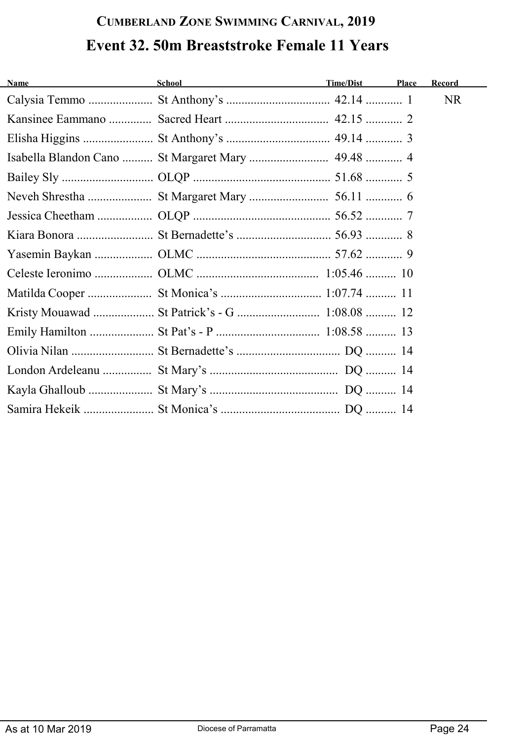# **CUMBERLAND ZONE SWIMMING CARNIVAL, 2019 Event 32. 50m Breaststroke Female 11 Years**

| <u> 1989 - Johann Barbara, martxa eta politikar</u><br>Name | School and the state of the state of the state of the state of the state of the state of the state of the state of the state of the state of the state of the state of the state of the state of the state of the state of the | Time/Dist | Place | Record    |
|-------------------------------------------------------------|--------------------------------------------------------------------------------------------------------------------------------------------------------------------------------------------------------------------------------|-----------|-------|-----------|
|                                                             |                                                                                                                                                                                                                                |           |       | <b>NR</b> |
|                                                             |                                                                                                                                                                                                                                |           |       |           |
|                                                             |                                                                                                                                                                                                                                |           |       |           |
|                                                             |                                                                                                                                                                                                                                |           |       |           |
|                                                             |                                                                                                                                                                                                                                |           |       |           |
|                                                             |                                                                                                                                                                                                                                |           |       |           |
|                                                             |                                                                                                                                                                                                                                |           |       |           |
|                                                             |                                                                                                                                                                                                                                |           |       |           |
|                                                             |                                                                                                                                                                                                                                |           |       |           |
|                                                             |                                                                                                                                                                                                                                |           |       |           |
|                                                             |                                                                                                                                                                                                                                |           |       |           |
|                                                             |                                                                                                                                                                                                                                |           |       |           |
|                                                             |                                                                                                                                                                                                                                |           |       |           |
|                                                             |                                                                                                                                                                                                                                |           |       |           |
|                                                             |                                                                                                                                                                                                                                |           |       |           |
|                                                             |                                                                                                                                                                                                                                |           |       |           |
|                                                             |                                                                                                                                                                                                                                |           |       |           |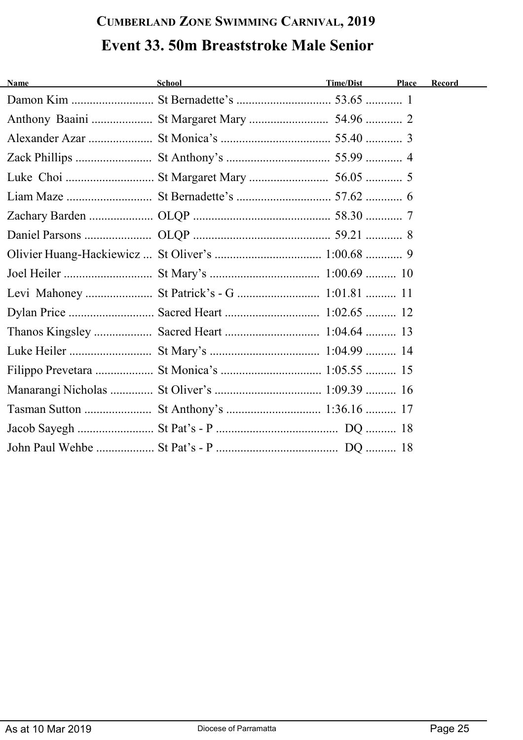# **CUMBERLAND ZONE SWIMMING CARNIVAL, 2019 Event 33. 50m Breaststroke Male Senior**

| <b>Name</b> | School and the second second second second second second second second second second second second second second second second second second second second second second second second second second second second second seco | <b>Time/Dist</b> | Place | Record |
|-------------|--------------------------------------------------------------------------------------------------------------------------------------------------------------------------------------------------------------------------------|------------------|-------|--------|
|             |                                                                                                                                                                                                                                |                  |       |        |
|             |                                                                                                                                                                                                                                |                  |       |        |
|             |                                                                                                                                                                                                                                |                  |       |        |
|             |                                                                                                                                                                                                                                |                  |       |        |
|             |                                                                                                                                                                                                                                |                  |       |        |
|             |                                                                                                                                                                                                                                |                  |       |        |
|             |                                                                                                                                                                                                                                |                  |       |        |
|             |                                                                                                                                                                                                                                |                  |       |        |
|             |                                                                                                                                                                                                                                |                  |       |        |
|             |                                                                                                                                                                                                                                |                  |       |        |
|             |                                                                                                                                                                                                                                |                  |       |        |
|             |                                                                                                                                                                                                                                |                  |       |        |
|             |                                                                                                                                                                                                                                |                  |       |        |
|             |                                                                                                                                                                                                                                |                  |       |        |
|             |                                                                                                                                                                                                                                |                  |       |        |
|             |                                                                                                                                                                                                                                |                  |       |        |
|             |                                                                                                                                                                                                                                |                  |       |        |
|             |                                                                                                                                                                                                                                |                  |       |        |
|             |                                                                                                                                                                                                                                |                  |       |        |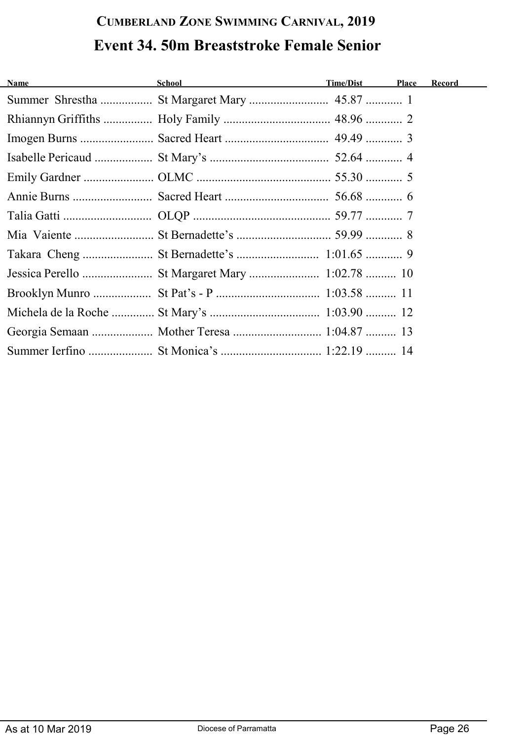## **CUMBERLAND ZONE SWIMMING CARNIVAL, 2019 Event 34. 50m Breaststroke Female Senior**

| <b>Name</b> | School and the contract of the contract of the contract of the contract of the contract of the contract of the | Time/Dist | Place | Record |
|-------------|----------------------------------------------------------------------------------------------------------------|-----------|-------|--------|
|             |                                                                                                                |           |       |        |
|             |                                                                                                                |           |       |        |
|             |                                                                                                                |           |       |        |
|             |                                                                                                                |           |       |        |
|             |                                                                                                                |           |       |        |
|             |                                                                                                                |           |       |        |
|             |                                                                                                                |           |       |        |
|             |                                                                                                                |           |       |        |
|             |                                                                                                                |           |       |        |
|             |                                                                                                                |           |       |        |
|             |                                                                                                                |           |       |        |
|             |                                                                                                                |           |       |        |
|             | Georgia Semaan  Mother Teresa  1:04.87  13                                                                     |           |       |        |
|             |                                                                                                                |           |       |        |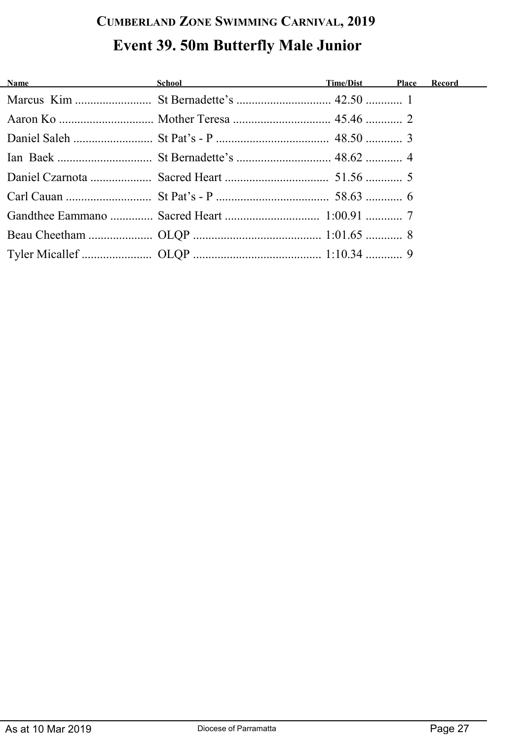## **CUMBERLAND ZONE SWIMMING CARNIVAL, 2019 Event 39. 50m Butterfly Male Junior**

| <b>Name</b> School School <b>Time/Dist</b> Place |  | <b>Record</b> |
|--------------------------------------------------|--|---------------|
|                                                  |  |               |
|                                                  |  |               |
|                                                  |  |               |
|                                                  |  |               |
|                                                  |  |               |
|                                                  |  |               |
|                                                  |  |               |
|                                                  |  |               |
|                                                  |  |               |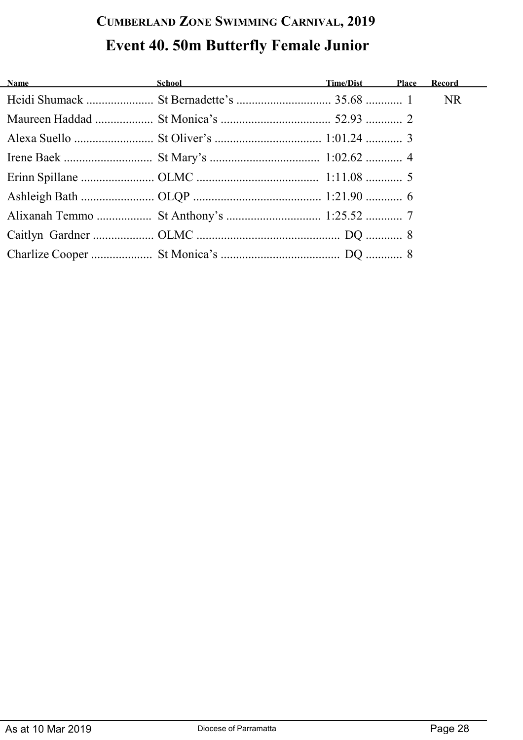# **CUMBERLAND ZONE SWIMMING CARNIVAL, 2019 Event 40. 50m Butterfly Female Junior**

| Name Manual Communication of the Manual Communication of the Manual Communication of the Manual Communication of the Manual Communication of the Manual Communication of the Manual Communication of the Manual Communication | <b>School School Contract Contract Contract Contract Contract Contract Contract Contract Contract Contract Contract Contract Contract Contract Contract Contract Contract Contract Contract Contract Contract Contract Contract </b> |  |  |
|-------------------------------------------------------------------------------------------------------------------------------------------------------------------------------------------------------------------------------|--------------------------------------------------------------------------------------------------------------------------------------------------------------------------------------------------------------------------------------|--|--|
|                                                                                                                                                                                                                               |                                                                                                                                                                                                                                      |  |  |
|                                                                                                                                                                                                                               |                                                                                                                                                                                                                                      |  |  |
|                                                                                                                                                                                                                               |                                                                                                                                                                                                                                      |  |  |
|                                                                                                                                                                                                                               |                                                                                                                                                                                                                                      |  |  |
|                                                                                                                                                                                                                               |                                                                                                                                                                                                                                      |  |  |
|                                                                                                                                                                                                                               |                                                                                                                                                                                                                                      |  |  |
|                                                                                                                                                                                                                               |                                                                                                                                                                                                                                      |  |  |
|                                                                                                                                                                                                                               |                                                                                                                                                                                                                                      |  |  |
|                                                                                                                                                                                                                               |                                                                                                                                                                                                                                      |  |  |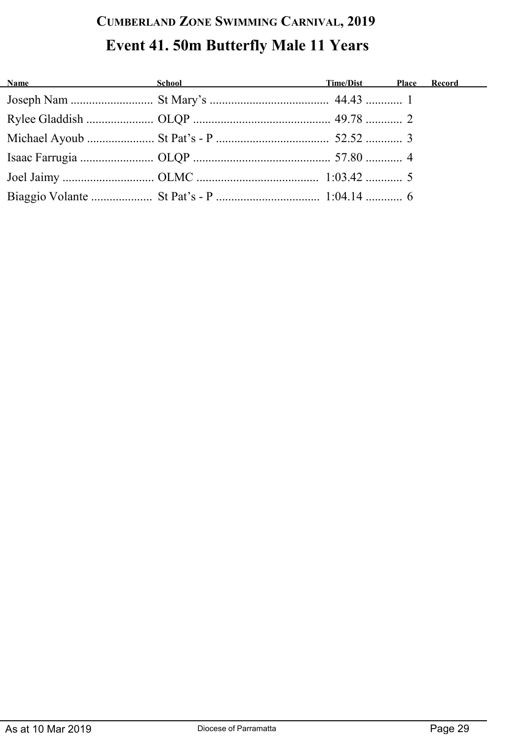## **CUMBERLAND ZONE SWIMMING CARNIVAL, 2019 Event 41. 50m Butterfly Male 11 Years**

| Name School School Time/Dist Place Record |  |  |
|-------------------------------------------|--|--|
|                                           |  |  |
|                                           |  |  |
|                                           |  |  |
|                                           |  |  |
|                                           |  |  |
|                                           |  |  |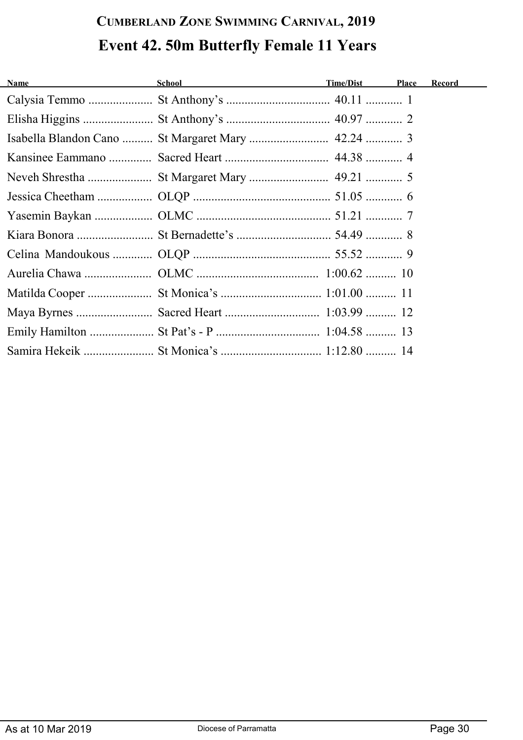## **CUMBERLAND ZONE SWIMMING CARNIVAL, 2019 Event 42. 50m Butterfly Female 11 Years**

| <b>Name</b><br><u> 1989 - Johann Harry Barn, mars ar breist fan de Fryske k</u> | School and the contract of the contract of the contract of the contract of the contract of the contract of the | Time/Dist | Place | <b>Record</b> |
|---------------------------------------------------------------------------------|----------------------------------------------------------------------------------------------------------------|-----------|-------|---------------|
|                                                                                 |                                                                                                                |           |       |               |
|                                                                                 |                                                                                                                |           |       |               |
|                                                                                 |                                                                                                                |           |       |               |
|                                                                                 |                                                                                                                |           |       |               |
|                                                                                 |                                                                                                                |           |       |               |
|                                                                                 |                                                                                                                |           |       |               |
|                                                                                 |                                                                                                                |           |       |               |
|                                                                                 |                                                                                                                |           |       |               |
|                                                                                 |                                                                                                                |           |       |               |
|                                                                                 |                                                                                                                |           |       |               |
|                                                                                 |                                                                                                                |           |       |               |
|                                                                                 |                                                                                                                |           |       |               |
|                                                                                 |                                                                                                                |           |       |               |
|                                                                                 |                                                                                                                |           |       |               |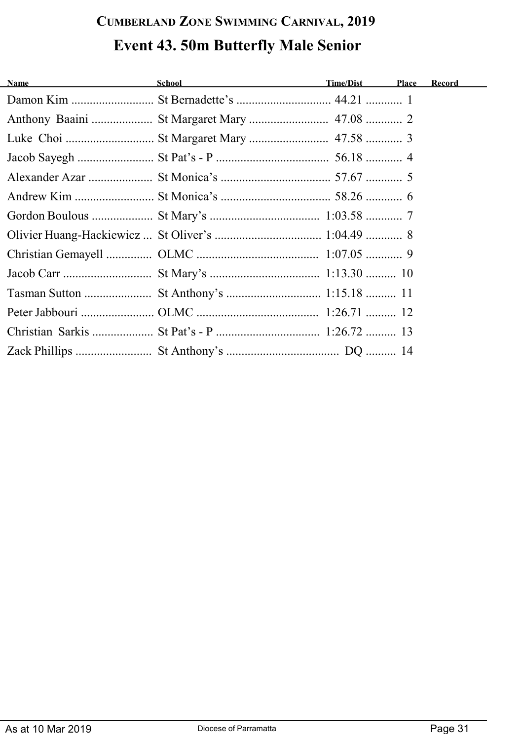## **CUMBERLAND ZONE SWIMMING CARNIVAL, 2019 Event 43. 50m Butterfly Male Senior**

| <b>Name</b><br><u> 1980 - Johann Barbara, martin a</u> | School Time/Dist | <b>Place</b> | <b>Record</b> |
|--------------------------------------------------------|------------------|--------------|---------------|
|                                                        |                  |              |               |
|                                                        |                  |              |               |
|                                                        |                  |              |               |
|                                                        |                  |              |               |
|                                                        |                  |              |               |
|                                                        |                  |              |               |
|                                                        |                  |              |               |
|                                                        |                  |              |               |
|                                                        |                  |              |               |
|                                                        |                  |              |               |
|                                                        |                  |              |               |
|                                                        |                  |              |               |
|                                                        |                  |              |               |
|                                                        |                  |              |               |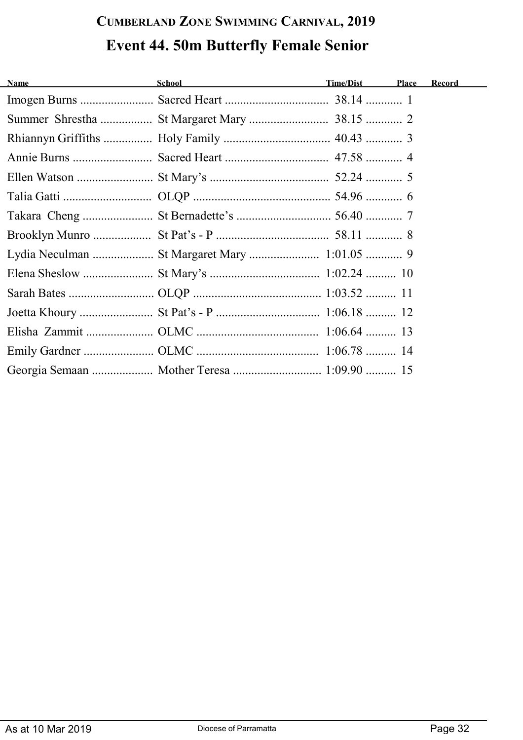# **CUMBERLAND ZONE SWIMMING CARNIVAL, 2019 Event 44. 50m Butterfly Female Senior**

| <b>Name</b><br><u> 1989 - Jan Barbara Barat, politik politik (</u> | School Time/Dist                           | Place | Record |
|--------------------------------------------------------------------|--------------------------------------------|-------|--------|
|                                                                    |                                            |       |        |
|                                                                    |                                            |       |        |
|                                                                    |                                            |       |        |
|                                                                    |                                            |       |        |
|                                                                    |                                            |       |        |
|                                                                    |                                            |       |        |
|                                                                    |                                            |       |        |
|                                                                    |                                            |       |        |
|                                                                    |                                            |       |        |
|                                                                    |                                            |       |        |
|                                                                    |                                            |       |        |
|                                                                    |                                            |       |        |
|                                                                    |                                            |       |        |
|                                                                    |                                            |       |        |
|                                                                    | Georgia Semaan  Mother Teresa  1:09.90  15 |       |        |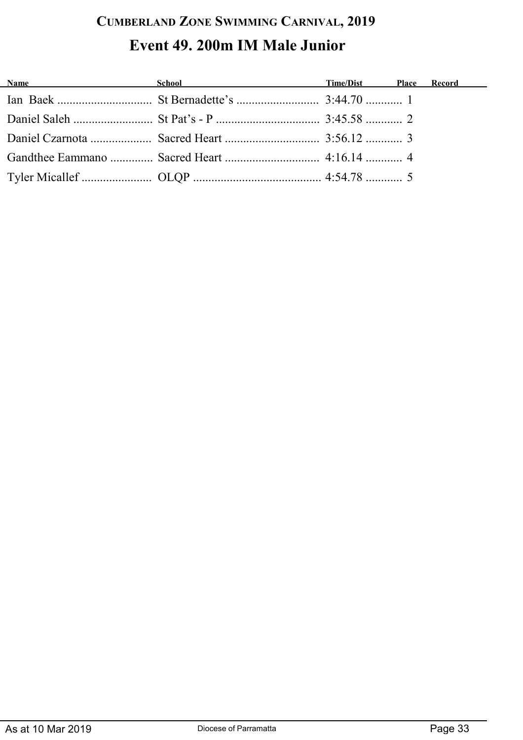### **CUMBERLAND ZONE SWIMMING CARNIVAL, 2019 Event 49. 200m IM Male Junior**

| <b>Name</b> School School <b>Time/Dist</b> Place Record |  |  |
|---------------------------------------------------------|--|--|
|                                                         |  |  |
|                                                         |  |  |
|                                                         |  |  |
|                                                         |  |  |
|                                                         |  |  |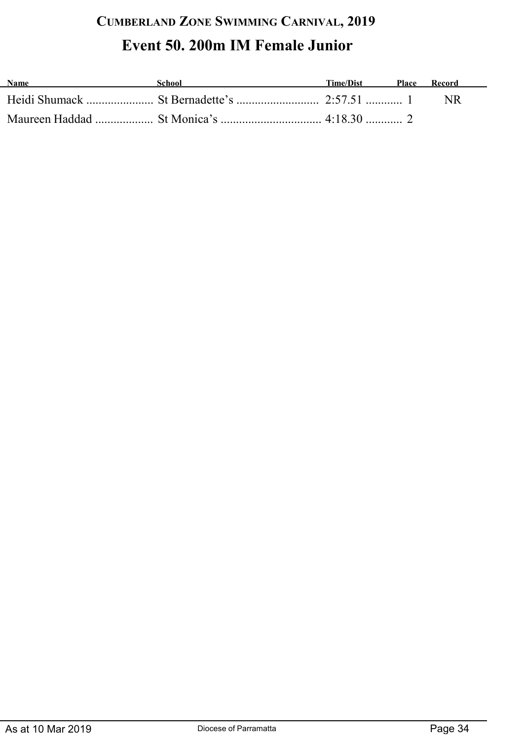## **CUMBERLAND ZONE SWIMMING CARNIVAL, 2019 Event 50. 200m IM Female Junior**

| <b>Name</b> | <b>School</b> | Time/Dist | <b>Place</b> | Record |
|-------------|---------------|-----------|--------------|--------|
|             |               |           |              |        |
|             |               |           |              |        |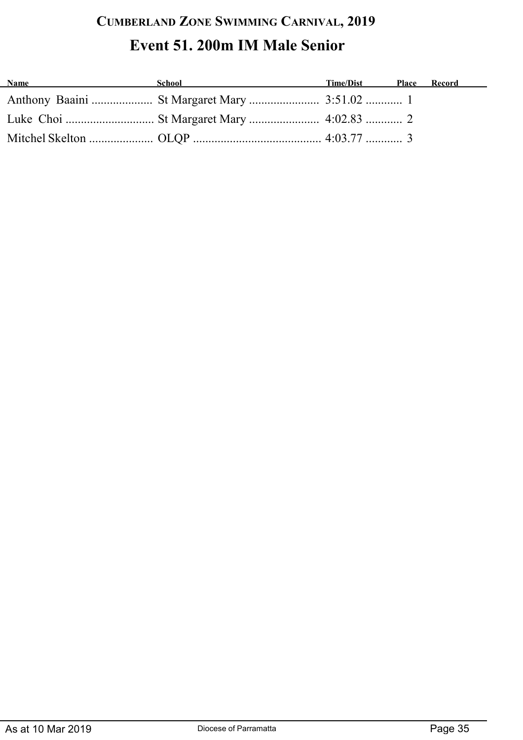## **CUMBERLAND ZONE SWIMMING CARNIVAL, 2019 Event 51. 200m IM Male Senior**

| <b>Name</b><br><u> 1980 - Johann Barbara, martxa alemaniar a</u> | School and the second second second second second second second second second second second second second second second second second second second second second second second second second second second second second seco | Time/Dist Place Record |  |
|------------------------------------------------------------------|--------------------------------------------------------------------------------------------------------------------------------------------------------------------------------------------------------------------------------|------------------------|--|
|                                                                  |                                                                                                                                                                                                                                |                        |  |
|                                                                  |                                                                                                                                                                                                                                |                        |  |
|                                                                  |                                                                                                                                                                                                                                |                        |  |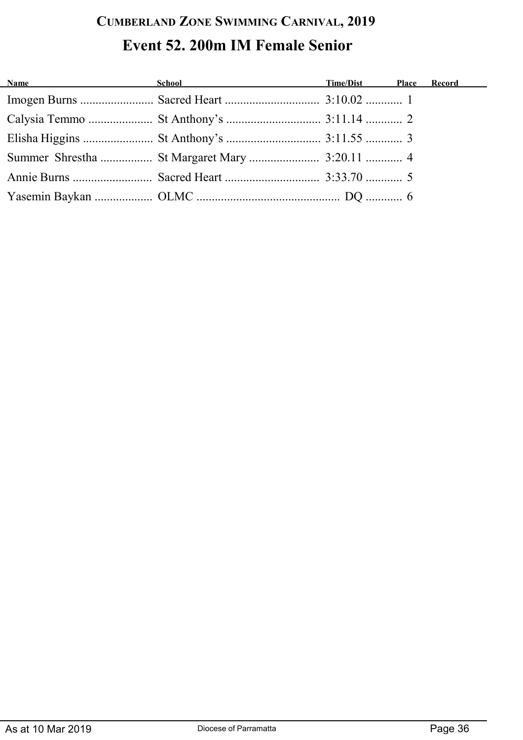## **CUMBERLAND ZONE SWIMMING CARNIVAL, 2019 Event 52. 200m IM Female Senior**

| <b>Name</b> School School <b>School Contained School Contained School Contained School Contained School Contained School Contained School Contained School Contained School Contained School Contained School C</b> |  |  |
|---------------------------------------------------------------------------------------------------------------------------------------------------------------------------------------------------------------------|--|--|
|                                                                                                                                                                                                                     |  |  |
|                                                                                                                                                                                                                     |  |  |
|                                                                                                                                                                                                                     |  |  |
|                                                                                                                                                                                                                     |  |  |
|                                                                                                                                                                                                                     |  |  |
|                                                                                                                                                                                                                     |  |  |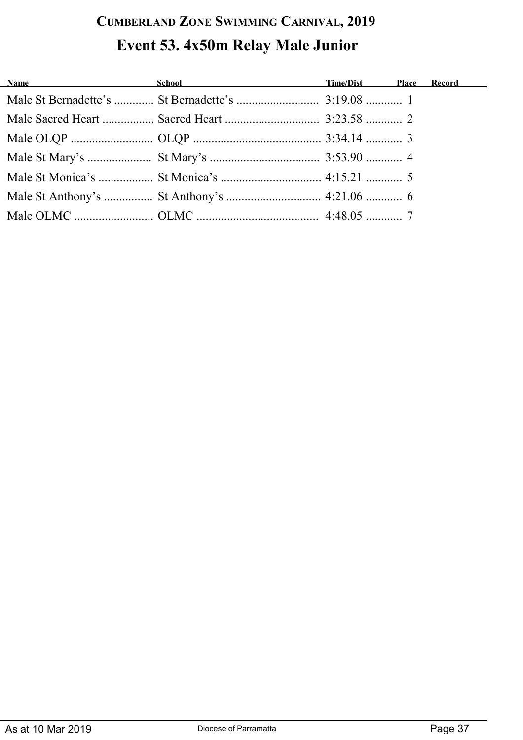## **CUMBERLAND ZONE SWIMMING CARNIVAL, 2019 Event 53. 4x50m Relay Male Junior**

| Name and the same state of the same state of the same state of the same state of the same state of the same state of the same state of the same state of the same state of the same state of the same state of the same state | <b>School Contract Contract Contract Contract Contract Contract Contract Contract Contract Contract Contract Contract Contract Contract Contract Contract Contract Contract Contract Contract Contract Contract Contract Contrac</b> |  |  |
|-------------------------------------------------------------------------------------------------------------------------------------------------------------------------------------------------------------------------------|--------------------------------------------------------------------------------------------------------------------------------------------------------------------------------------------------------------------------------------|--|--|
|                                                                                                                                                                                                                               |                                                                                                                                                                                                                                      |  |  |
|                                                                                                                                                                                                                               |                                                                                                                                                                                                                                      |  |  |
|                                                                                                                                                                                                                               |                                                                                                                                                                                                                                      |  |  |
|                                                                                                                                                                                                                               |                                                                                                                                                                                                                                      |  |  |
|                                                                                                                                                                                                                               |                                                                                                                                                                                                                                      |  |  |
|                                                                                                                                                                                                                               |                                                                                                                                                                                                                                      |  |  |
|                                                                                                                                                                                                                               |                                                                                                                                                                                                                                      |  |  |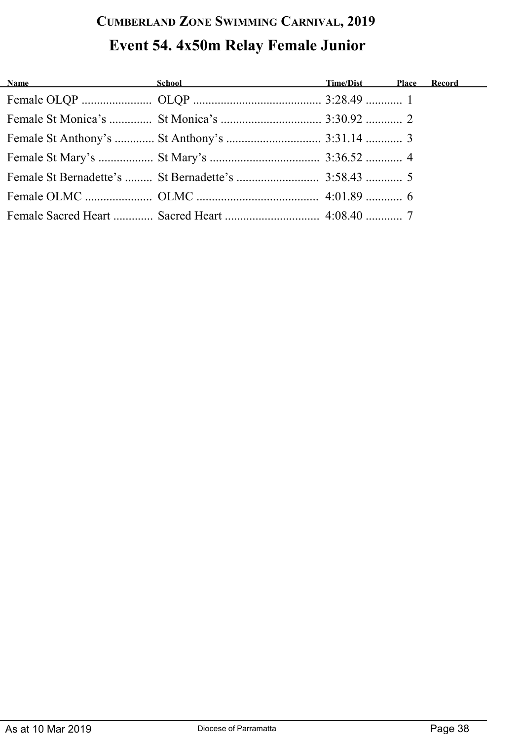## **CUMBERLAND ZONE SWIMMING CARNIVAL, 2019 Event 54. 4x50m Relay Female Junior**

| <b>Name</b> School School <b>Time/Dist</b> Place |  | <b>Record</b> |
|--------------------------------------------------|--|---------------|
|                                                  |  |               |
|                                                  |  |               |
|                                                  |  |               |
|                                                  |  |               |
|                                                  |  |               |
|                                                  |  |               |
|                                                  |  |               |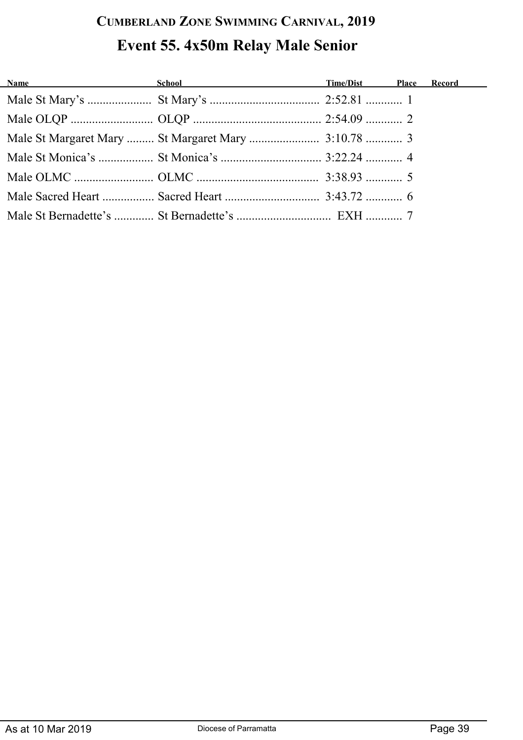## **CUMBERLAND ZONE SWIMMING CARNIVAL, 2019 Event 55. 4x50m Relay Male Senior**

| Name School School Time/Dist Place Record |  |  |
|-------------------------------------------|--|--|
|                                           |  |  |
|                                           |  |  |
|                                           |  |  |
|                                           |  |  |
|                                           |  |  |
|                                           |  |  |
|                                           |  |  |